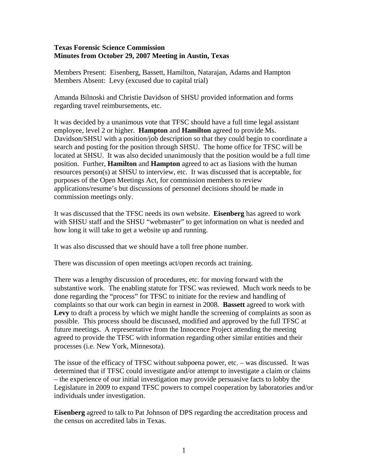## **Texas Forensic Science Commission Minutes from October 29, 2007 Meeting in Austin, Texas**

Members Present: Eisenberg, Bassett, Hamilton, Natarajan, Adams and Hampton Members Absent: Levy (excused due to capital trial)

Amanda Bilnoski and Christie Davidson of SHSU provided information and forms regarding travel reimbursements, etc.

It was decided by a unanimous vote that TFSC should have a full time legal assistant employee, level 2 or higher. **Hampton** and **Hamilton** agreed to provide Ms. Davidson/SHSU with a position/job description so that they could begin to coordinate a search and posting for the position through SHSU. The home office for TFSC will be located at SHSU. It was also decided unanimously that the position would be a full time position. Further, **Hamilton** and **Hampton** agreed to act as liasions with the human resources person(s) at SHSU to interview, etc. It was discussed that is acceptable, for purposes of the Open Meetings Act, for commission members to review applications/resume's but discussions of personnel decisions should be made in commission meetings only.

It was discussed that the TFSC needs its own website. **Eisenberg** has agreed to work with SHSU staff and the SHSU "webmaster" to get information on what is needed and how long it will take to get a website up and running.

It was also discussed that we should have a toll free phone number.

There was discussion of open meetings act/open records act training.

There was a lengthy discussion of procedures, etc. for moving forward with the substantive work. The enabling statute for TFSC was reviewed. Much work needs to be done regarding the "process" for TFSC to initiate for the review and handling of complaints so that our work can begin in earnest in 2008. **Bassett** agreed to work with Levy to draft a process by which we might handle the screening of complaints as soon as possible. This process should be discussed, modified and approved by the full TFSC at future meetings. A representative from the Innocence Project attending the meeting agreed to provide the TFSC with information regarding other similar entities and their processes (i.e. New York, Minnesota).

The issue of the efficacy of TFSC without subpoena power, etc. – was discussed. It was determined that if TFSC could investigate and/or attempt to investigate a claim or claims – the experience of our initial investigation may provide persuasive facts to lobby the Legislature in 2009 to expand TFSC powers to compel cooperation by laboratories and/or individuals under investigation.

**Eisenberg** agreed to talk to Pat Johnson of DPS regarding the accreditation process and the census on accredited labs in Texas.